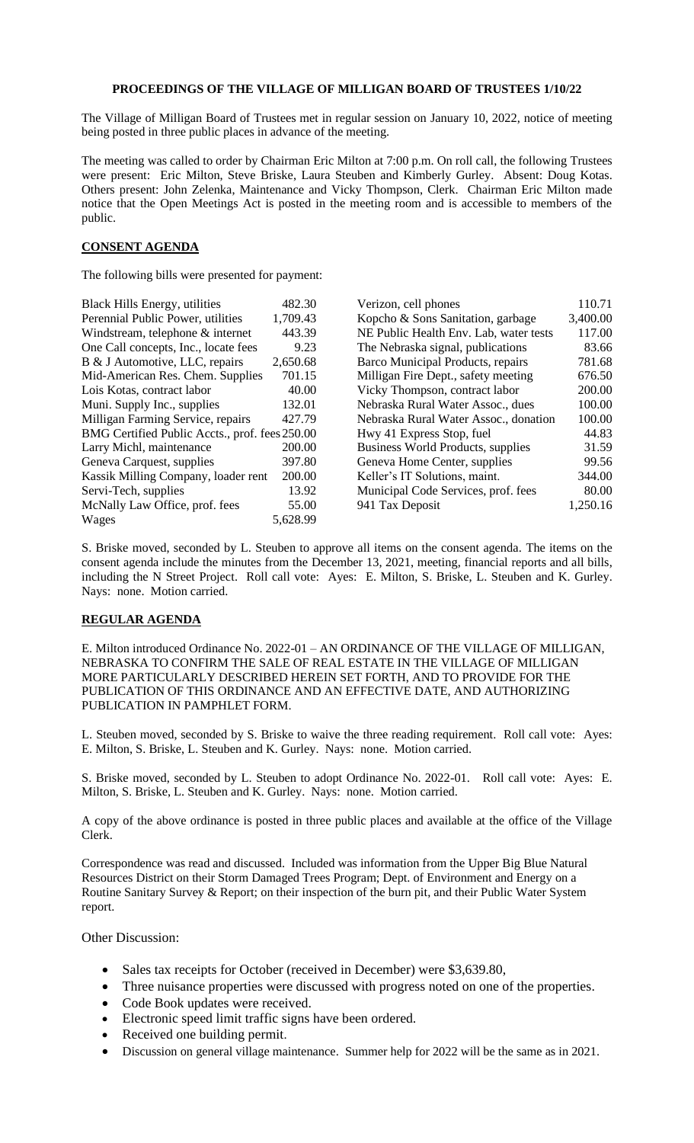## **PROCEEDINGS OF THE VILLAGE OF MILLIGAN BOARD OF TRUSTEES 1/10/22**

The Village of Milligan Board of Trustees met in regular session on January 10, 2022, notice of meeting being posted in three public places in advance of the meeting.

The meeting was called to order by Chairman Eric Milton at 7:00 p.m. On roll call, the following Trustees were present: Eric Milton, Steve Briske, Laura Steuben and Kimberly Gurley. Absent: Doug Kotas. Others present: John Zelenka, Maintenance and Vicky Thompson, Clerk. Chairman Eric Milton made notice that the Open Meetings Act is posted in the meeting room and is accessible to members of the public.

## **CONSENT AGENDA**

The following bills were presented for payment:

| <b>Black Hills Energy, utilities</b>           | 482.30   | Verizon, cell phones                     | 110.71   |
|------------------------------------------------|----------|------------------------------------------|----------|
| Perennial Public Power, utilities              | 1,709.43 | Kopcho & Sons Sanitation, garbage        | 3,400.00 |
| Windstream, telephone & internet               | 443.39   | NE Public Health Env. Lab, water tests   | 117.00   |
| One Call concepts, Inc., locate fees           | 9.23     | The Nebraska signal, publications        | 83.66    |
| B & J Automotive, LLC, repairs                 | 2,650.68 | Barco Municipal Products, repairs        | 781.68   |
| Mid-American Res. Chem. Supplies               | 701.15   | Milligan Fire Dept., safety meeting      | 676.50   |
| Lois Kotas, contract labor                     | 40.00    | Vicky Thompson, contract labor           | 200.00   |
| Muni. Supply Inc., supplies                    | 132.01   | Nebraska Rural Water Assoc., dues        | 100.00   |
| Milligan Farming Service, repairs              | 427.79   | Nebraska Rural Water Assoc., donation    | 100.00   |
| BMG Certified Public Accts., prof. fees 250.00 |          | Hwy 41 Express Stop, fuel                | 44.83    |
| Larry Michl, maintenance                       | 200.00   | <b>Business World Products, supplies</b> | 31.59    |
| Geneva Carquest, supplies                      | 397.80   | Geneva Home Center, supplies             | 99.56    |
| Kassik Milling Company, loader rent            | 200.00   | Keller's IT Solutions, maint.            | 344.00   |
| Servi-Tech, supplies                           | 13.92    | Municipal Code Services, prof. fees      | 80.00    |
| McNally Law Office, prof. fees                 | 55.00    | 941 Tax Deposit                          | 1,250.16 |
| Wages                                          | 5,628.99 |                                          |          |

S. Briske moved, seconded by L. Steuben to approve all items on the consent agenda. The items on the consent agenda include the minutes from the December 13, 2021, meeting, financial reports and all bills, including the N Street Project. Roll call vote: Ayes: E. Milton, S. Briske, L. Steuben and K. Gurley. Nays: none. Motion carried.

## **REGULAR AGENDA**

E. Milton introduced Ordinance No. 2022-01 – AN ORDINANCE OF THE VILLAGE OF MILLIGAN, NEBRASKA TO CONFIRM THE SALE OF REAL ESTATE IN THE VILLAGE OF MILLIGAN MORE PARTICULARLY DESCRIBED HEREIN SET FORTH, AND TO PROVIDE FOR THE PUBLICATION OF THIS ORDINANCE AND AN EFFECTIVE DATE, AND AUTHORIZING PUBLICATION IN PAMPHLET FORM.

L. Steuben moved, seconded by S. Briske to waive the three reading requirement. Roll call vote: Ayes: E. Milton, S. Briske, L. Steuben and K. Gurley. Nays: none. Motion carried.

S. Briske moved, seconded by L. Steuben to adopt Ordinance No. 2022-01. Roll call vote: Ayes: E. Milton, S. Briske, L. Steuben and K. Gurley. Nays: none. Motion carried.

A copy of the above ordinance is posted in three public places and available at the office of the Village Clerk.

Correspondence was read and discussed. Included was information from the Upper Big Blue Natural Resources District on their Storm Damaged Trees Program; Dept. of Environment and Energy on a Routine Sanitary Survey & Report; on their inspection of the burn pit, and their Public Water System report.

Other Discussion:

- Sales tax receipts for October (received in December) were \$3,639.80,
- Three nuisance properties were discussed with progress noted on one of the properties.
- Code Book updates were received.
- Electronic speed limit traffic signs have been ordered.
- Received one building permit.
- Discussion on general village maintenance. Summer help for 2022 will be the same as in 2021.